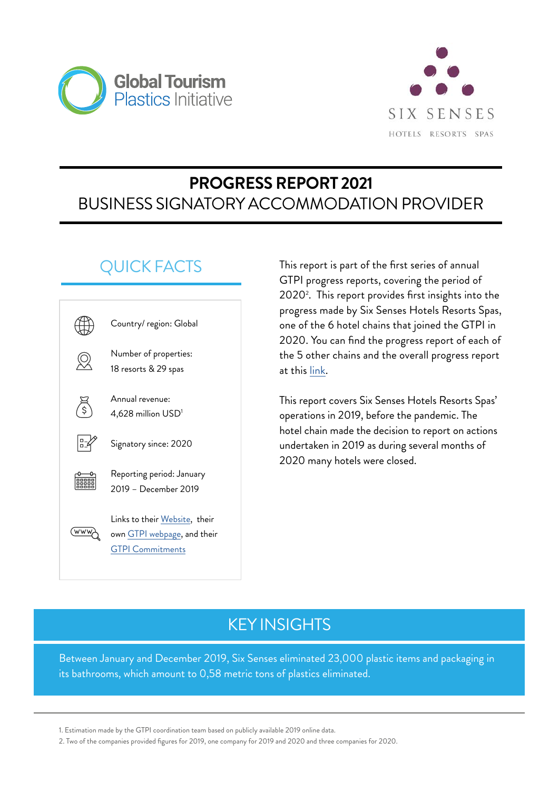



# **PROGRESS REPORT 2021** BUSINESS SIGNATORY ACCOMMODATION PROVIDER

# QUICK FACTS



This report is part of the first series of annual GTPI progress reports, covering the period of 2020<sup>2</sup>. This report provides first insights into the progress made by Six Senses Hotels Resorts Spas, one of the 6 hotel chains that joined the GTPI in 2020. You can find the progress report of each of the 5 other chains and the overall progress report at this [link](https://www.oneplanetnetwork.org/programmes/sustainable-tourism/global-tourism-plastics-initiative/progress-report-2021).

This report covers Six Senses Hotels Resorts Spas' operations in 2019, before the pandemic. The hotel chain made the decision to report on actions undertaken in 2019 as during several months of 2020 many hotels were closed.

# KEY INSIGHTS

Between January and December 2019, Six Senses eliminated 23,000 plastic items and packaging in its bathrooms, which amount to 0,58 metric tons of plastics eliminated.

<sup>1.</sup> Estimation made by the GTPI coordination team based on publicly available 2019 online data.

<sup>2.</sup> Two of the companies provided figures for 2019, one company for 2019 and 2020 and three companies for 2020.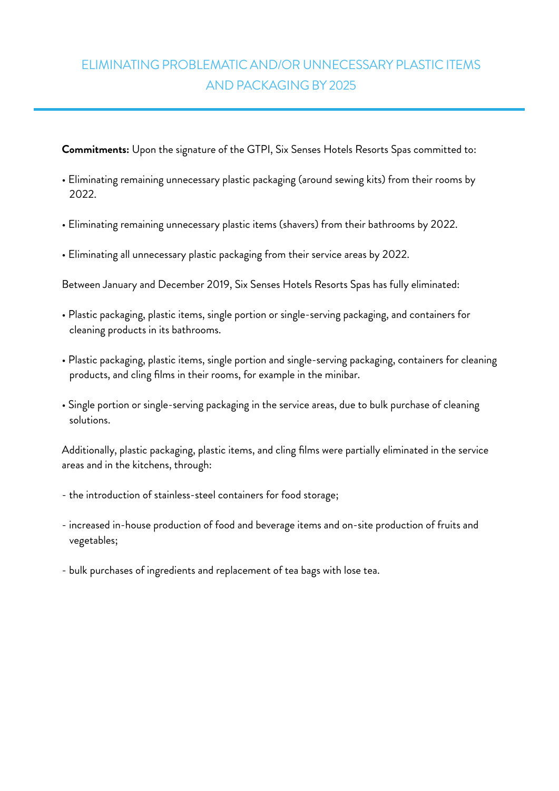### ELIMINATING PROBLEMATIC AND/OR UNNECESSARY PLASTIC ITEMS AND PACKAGING BY 2025

**Commitments:** Upon the signature of the GTPI, Six Senses Hotels Resorts Spas committed to:

- Eliminating remaining unnecessary plastic packaging (around sewing kits) from their rooms by 2022.
- Eliminating remaining unnecessary plastic items (shavers) from their bathrooms by 2022.
- Eliminating all unnecessary plastic packaging from their service areas by 2022.

Between January and December 2019, Six Senses Hotels Resorts Spas has fully eliminated:

- Plastic packaging, plastic items, single portion or single-serving packaging, and containers for cleaning products in its bathrooms.
- Plastic packaging, plastic items, single portion and single-serving packaging, containers for cleaning products, and cling films in their rooms, for example in the minibar.
- Single portion or single-serving packaging in the service areas, due to bulk purchase of cleaning solutions.

Additionally, plastic packaging, plastic items, and cling films were partially eliminated in the service areas and in the kitchens, through:

- the introduction of stainless-steel containers for food storage;
- increased in-house production of food and beverage items and on-site production of fruits and vegetables;
- bulk purchases of ingredients and replacement of tea bags with lose tea.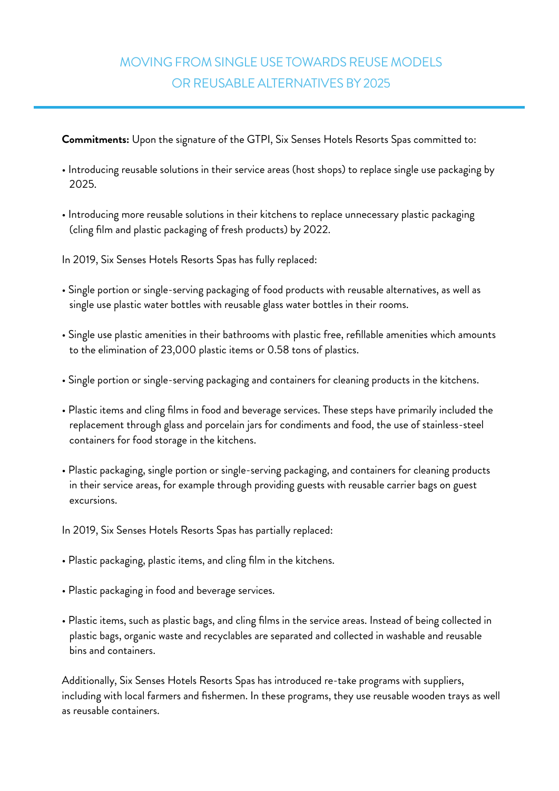#### MOVING FROM SINGLE USE TOWARDS REUSE MODELS OR REUSABLE ALTERNATIVES BY 2025

**Commitments:** Upon the signature of the GTPI, Six Senses Hotels Resorts Spas committed to:

- Introducing reusable solutions in their service areas (host shops) to replace single use packaging by 2025.
- Introducing more reusable solutions in their kitchens to replace unnecessary plastic packaging (cling film and plastic packaging of fresh products) by 2022.

In 2019, Six Senses Hotels Resorts Spas has fully replaced:

- Single portion or single-serving packaging of food products with reusable alternatives, as well as single use plastic water bottles with reusable glass water bottles in their rooms.
- Single use plastic amenities in their bathrooms with plastic free, refillable amenities which amounts to the elimination of 23,000 plastic items or 0.58 tons of plastics.
- Single portion or single-serving packaging and containers for cleaning products in the kitchens.
- Plastic items and cling films in food and beverage services. These steps have primarily included the replacement through glass and porcelain jars for condiments and food, the use of stainless-steel containers for food storage in the kitchens.
- Plastic packaging, single portion or single-serving packaging, and containers for cleaning products in their service areas, for example through providing guests with reusable carrier bags on guest excursions.

In 2019, Six Senses Hotels Resorts Spas has partially replaced:

- Plastic packaging, plastic items, and cling film in the kitchens.
- Plastic packaging in food and beverage services.
- Plastic items, such as plastic bags, and cling films in the service areas. Instead of being collected in plastic bags, organic waste and recyclables are separated and collected in washable and reusable bins and containers.

Additionally, Six Senses Hotels Resorts Spas has introduced re-take programs with suppliers, including with local farmers and fishermen. In these programs, they use reusable wooden trays as well as reusable containers.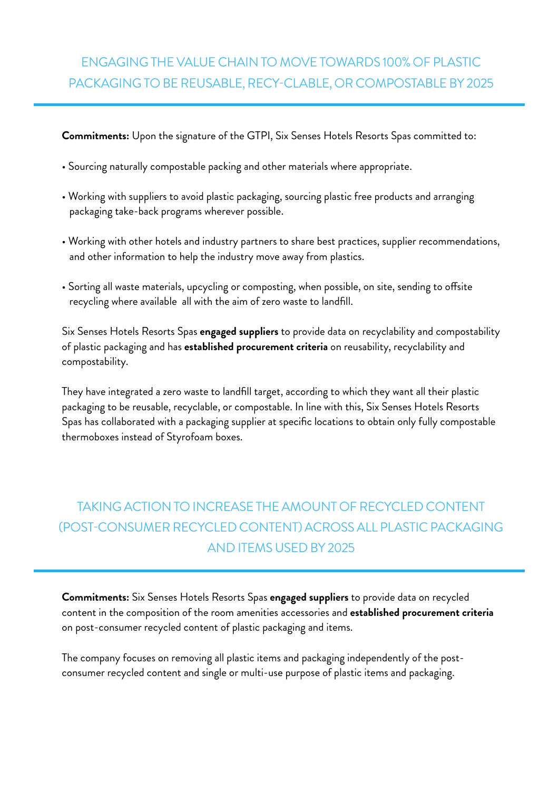#### ENGAGING THE VALUE CHAIN TO MOVE TOWARDS 100% OF PLASTIC PACKAGING TO BE REUSABLE, RECY-CLABLE, OR COMPOSTABLE BY 2025

**Commitments:** Upon the signature of the GTPI, Six Senses Hotels Resorts Spas committed to:

- Sourcing naturally compostable packing and other materials where appropriate.
- Working with suppliers to avoid plastic packaging, sourcing plastic free products and arranging packaging take-back programs wherever possible.
- Working with other hotels and industry partners to share best practices, supplier recommendations, and other information to help the industry move away from plastics.
- Sorting all waste materials, upcycling or composting, when possible, on site, sending to offsite recycling where available all with the aim of zero waste to landfill.

Six Senses Hotels Resorts Spas **engaged suppliers** to provide data on recyclability and compostability of plastic packaging and has **established procurement criteria** on reusability, recyclability and compostability.

They have integrated a zero waste to landfill target, according to which they want all their plastic packaging to be reusable, recyclable, or compostable. In line with this, Six Senses Hotels Resorts Spas has collaborated with a packaging supplier at specific locations to obtain only fully compostable thermoboxes instead of Styrofoam boxes.

## TAKING ACTION TO INCREASE THE AMOUNT OF RECYCLED CONTENT (POST-CONSUMER RECYCLED CONTENT) ACROSS ALL PLASTIC PACKAGING AND ITEMS USED BY 2025

**Commitments:** Six Senses Hotels Resorts Spas **engaged suppliers** to provide data on recycled content in the composition of the room amenities accessories and **established procurement criteria** on post-consumer recycled content of plastic packaging and items.

The company focuses on removing all plastic items and packaging independently of the postconsumer recycled content and single or multi-use purpose of plastic items and packaging.